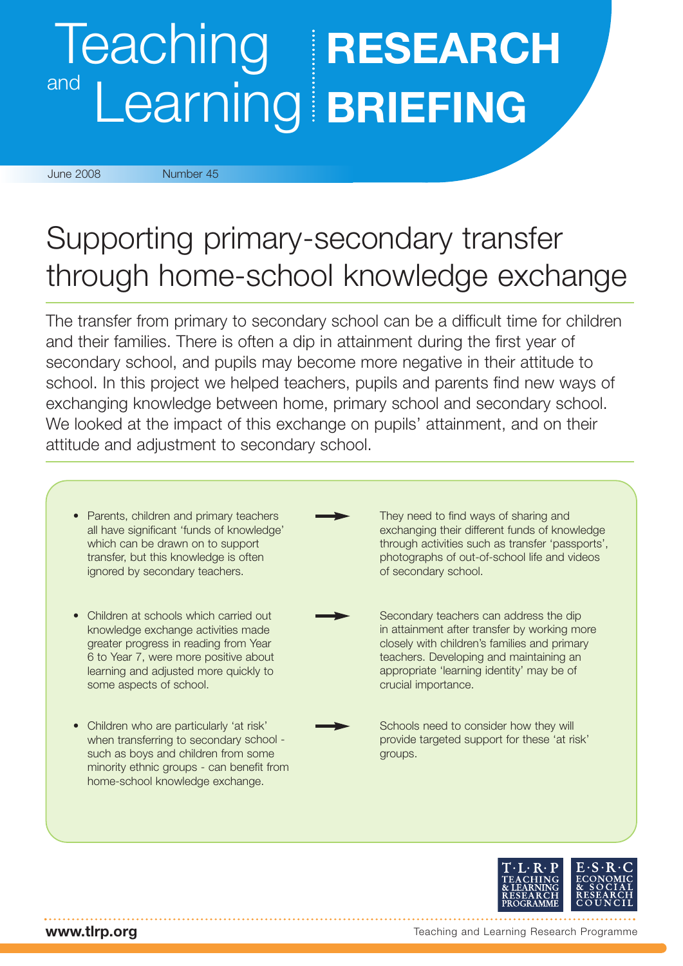## Teaching **RESEARCH** and Learning **BRIEFING**

June 2008 Number 45

## Supporting primary-secondary transfer through home-school knowledge exchange

The transfer from primary to secondary school can be a difficult time for children and their families. There is often a dip in attainment during the first year of secondary school, and pupils may become more negative in their attitude to school. In this project we helped teachers, pupils and parents find new ways of exchanging knowledge between home, primary school and secondary school. We looked at the impact of this exchange on pupils' attainment, and on their attitude and adjustment to secondary school.





**www.tlrp.org**

Teaching and Learning Research Programme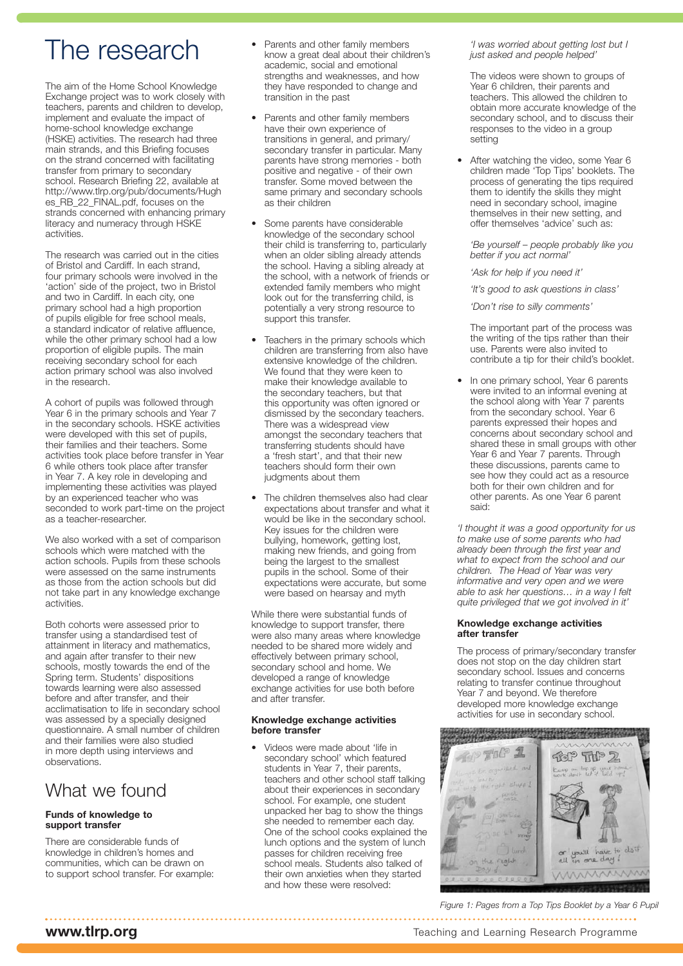## The research

The aim of the Home School Knowledge Exchange project was to work closely with teachers, parents and children to develop, implement and evaluate the impact of home-school knowledge exchange (HSKE) activities. The research had three main strands, and this Briefing focuses on the strand concerned with facilitating transfer from primary to secondary school. Research Briefing 22, available at http://www.tlrp.org/pub/documents/Hugh es\_RB\_22\_FINAL.pdf, focuses on the strands concerned with enhancing primary literacy and numeracy through HSKE activities.

The research was carried out in the cities of Bristol and Cardiff. In each strand, four primary schools were involved in the 'action' side of the project, two in Bristol and two in Cardiff. In each city, one primary school had a high proportion of pupils eligible for free school meals, a standard indicator of relative affluence, while the other primary school had a low proportion of eligible pupils. The main receiving secondary school for each action primary school was also involved in the research.

A cohort of pupils was followed through Year 6 in the primary schools and Year 7 in the secondary schools. HSKE activities were developed with this set of pupils, their families and their teachers. Some activities took place before transfer in Year 6 while others took place after transfer in Year 7. A key role in developing and implementing these activities was played by an experienced teacher who was seconded to work part-time on the project as a teacher-researcher.

We also worked with a set of comparison schools which were matched with the action schools. Pupils from these schools were assessed on the same instruments as those from the action schools but did not take part in any knowledge exchange activities.

Both cohorts were assessed prior to transfer using a standardised test of attainment in literacy and mathematics, and again after transfer to their new schools, mostly towards the end of the Spring term. Students' dispositions towards learning were also assessed before and after transfer, and their acclimatisation to life in secondary school was assessed by a specially designed questionnaire. A small number of children and their families were also studied in more depth using interviews and observations.

### What we found

#### **Funds of knowledge to support transfer**

There are considerable funds of knowledge in children's homes and communities, which can be drawn on to support school transfer. For example:

- Parents and other family members know a great deal about their children's academic, social and emotional strengths and weaknesses, and how they have responded to change and transition in the past
- Parents and other family members have their own experience of transitions in general, and primary/ secondary transfer in particular. Many parents have strong memories - both positive and negative - of their own transfer. Some moved between the same primary and secondary schools as their children
- Some parents have considerable knowledge of the secondary school their child is transferring to, particularly when an older sibling already attends the school. Having a sibling already at the school, with a network of friends or extended family members who might look out for the transferring child, is potentially a very strong resource to support this transfer.
- Teachers in the primary schools which children are transferring from also have extensive knowledge of the children. We found that they were keen to make their knowledge available to the secondary teachers, but that this opportunity was often ignored or dismissed by the secondary teachers. There was a widespread view amongst the secondary teachers that transferring students should have a 'fresh start', and that their new teachers should form their own judgments about them
- The children themselves also had clear expectations about transfer and what it would be like in the secondary school. Key issues for the children were bullying, homework, getting lost, making new friends, and going from being the largest to the smallest pupils in the school. Some of their expectations were accurate, but some were based on hearsay and myth

While there were substantial funds of knowledge to support transfer, there were also many areas where knowledge needed to be shared more widely and effectively between primary school, secondary school and home. We developed a range of knowledge exchange activities for use both before and after transfer.

#### **Knowledge exchange activities before transfer**

• Videos were made about 'life in secondary school' which featured students in Year 7, their parents, teachers and other school staff talking about their experiences in secondary school. For example, one student unpacked her bag to show the things she needed to remember each day. One of the school cooks explained the lunch options and the system of lunch passes for children receiving free school meals. Students also talked of their own anxieties when they started and how these were resolved:

*'I was worried about getting lost but I just asked and people helped'*

The videos were shown to groups of Year 6 children, their parents and teachers. This allowed the children to obtain more accurate knowledge of the secondary school, and to discuss their responses to the video in a group setting

• After watching the video, some Year 6 children made 'Top Tips' booklets. The process of generating the tips required them to identify the skills they might need in secondary school, imagine themselves in their new setting, and offer themselves 'advice' such as:

*'Be yourself – people probably like you better if you act normal'*

*'Ask for help if you need it'*

*'It's good to ask questions in class'*

*'Don't rise to silly comments'*

The important part of the process was the writing of the tips rather than their use. Parents were also invited to contribute a tip for their child's booklet.

In one primary school, Year 6 parents were invited to an informal evening at the school along with Year 7 parents from the secondary school. Year 6 parents expressed their hopes and concerns about secondary school and shared these in small groups with other Year 6 and Year 7 parents. Through these discussions, parents came to see how they could act as a resource both for their own children and for other parents. As one Year 6 parent said:

*'I thought it was a good opportunity for us to make use of some parents who had already been through the first year and what to expect from the school and our children. The Head of Year was very informative and very open and we were able to ask her questions… in a way I felt quite privileged that we got involved in it'* 

#### **Knowledge exchange activities after transfer**

The process of primary/secondary transfer does not stop on the day children start secondary school. Issues and concerns relating to transfer continue throughout Year 7 and beyond. We therefore developed more knowledge exchange activities for use in secondary school.



*Figure 1: Pages from a Top Tips Booklet by a Year 6 Pupil*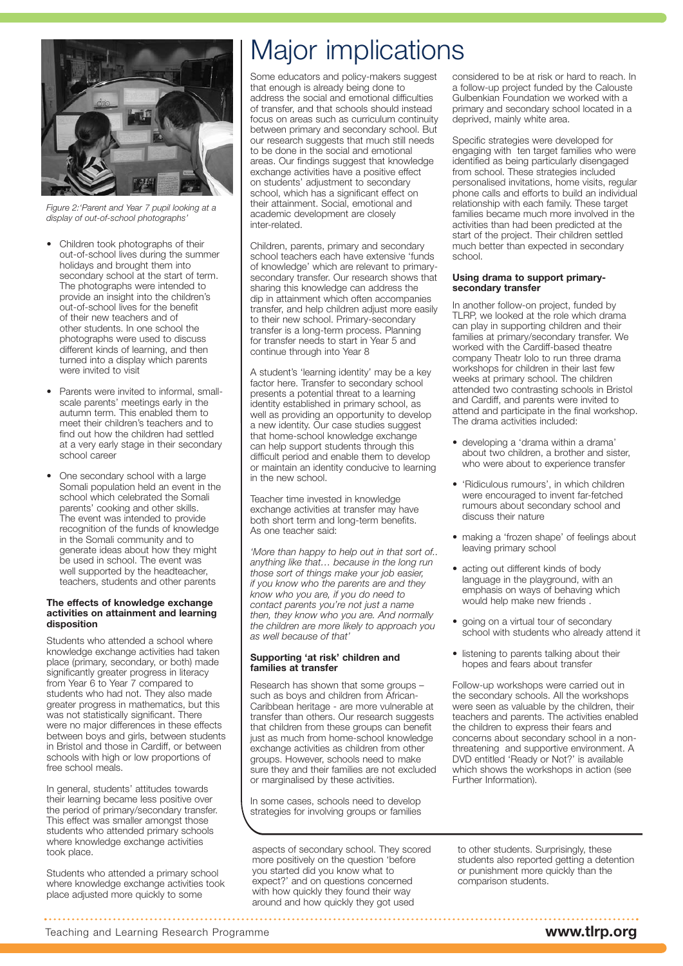

*Figure 2:'Parent and Year 7 pupil looking at a display of out-of-school photographs'*

- Children took photographs of their out-of-school lives during the summer holidays and brought them into secondary school at the start of term. The photographs were intended to provide an insight into the children's out-of-school lives for the benefit of their new teachers and of other students. In one school the photographs were used to discuss different kinds of learning, and then turned into a display which parents were invited to visit
- Parents were invited to informal, smallscale parents' meetings early in the autumn term. This enabled them to meet their children's teachers and to find out how the children had settled at a very early stage in their secondary school career
- One secondary school with a large Somali population held an event in the school which celebrated the Somali parents' cooking and other skills. The event was intended to provide recognition of the funds of knowledge in the Somali community and to generate ideas about how they might be used in school. The event was well supported by the headteacher, teachers, students and other parents

#### **The effects of knowledge exchange activities on attainment and learning disposition**

Students who attended a school where knowledge exchange activities had taken place (primary, secondary, or both) made significantly greater progress in literacy from Year 6 to Year 7 compared to students who had not. They also made greater progress in mathematics, but this was not statistically significant. There were no major differences in these effects between boys and girls, between students in Bristol and those in Cardiff, or between schools with high or low proportions of free school meals.

In general, students' attitudes towards their learning became less positive over the period of primary/secondary transfer. This effect was smaller amongst those students who attended primary schools where knowledge exchange activities took place.

Students who attended a primary school where knowledge exchange activities took place adjusted more quickly to some

## Major implications

Some educators and policy-makers suggest that enough is already being done to address the social and emotional difficulties of transfer, and that schools should instead focus on areas such as curriculum continuity between primary and secondary school. But our research suggests that much still needs to be done in the social and emotional areas. Our findings suggest that knowledge exchange activities have a positive effect on students' adjustment to secondary school, which has a significant effect on their attainment. Social, emotional and academic development are closely inter-related.

Children, parents, primary and secondary school teachers each have extensive 'funds of knowledge' which are relevant to primarysecondary transfer. Our research shows that sharing this knowledge can address the dip in attainment which often accompanies transfer, and help children adjust more easily to their new school. Primary-secondary transfer is a long-term process. Planning for transfer needs to start in Year 5 and continue through into Year 8

A student's 'learning identity' may be a key factor here. Transfer to secondary school presents a potential threat to a learning identity established in primary school, as well as providing an opportunity to develop a new identity. Our case studies suggest that home-school knowledge exchange can help support students through this difficult period and enable them to develop or maintain an identity conducive to learning in the new school.

Teacher time invested in knowledge exchange activities at transfer may have both short term and long-term benefits. As one teacher said:

*'More than happy to help out in that sort of.. anything like that… because in the long run those sort of things make your job easier, if you know who the parents are and they know who you are, if you do need to contact parents you're not just a name then, they know who you are. And normally the children are more likely to approach you as well because of that'*

#### **Supporting 'at risk' children and families at transfer**

Research has shown that some groups – such as boys and children from African-Caribbean heritage - are more vulnerable at transfer than others. Our research suggests that children from these groups can benefit just as much from home-school knowledge exchange activities as children from other groups. However, schools need to make sure they and their families are not excluded or marginalised by these activities.

In some cases, schools need to develop strategies for involving groups or families

aspects of secondary school. They scored more positively on the question 'before you started did you know what to expect?' and on questions concerned with how quickly they found their way around and how quickly they got used

considered to be at risk or hard to reach. In a follow-up project funded by the Calouste Gulbenkian Foundation we worked with a primary and secondary school located in a deprived, mainly white area.

Specific strategies were developed for engaging with ten target families who were identified as being particularly disengaged from school. These strategies included personalised invitations, home visits, regular phone calls and efforts to build an individual relationship with each family. These target families became much more involved in the activities than had been predicted at the start of the project. Their children settled much better than expected in secondary school.

#### **Using drama to support primarysecondary transfer**

In another follow-on project, funded by TLRP, we looked at the role which drama can play in supporting children and their families at primary/secondary transfer. We worked with the Cardiff-based theatre company Theatr Iolo to run three drama workshops for children in their last few weeks at primary school. The children attended two contrasting schools in Bristol and Cardiff, and parents were invited to attend and participate in the final workshop. The drama activities included:

- developing a 'drama within a drama' about two children, a brother and sister, who were about to experience transfer
- 'Ridiculous rumours', in which children were encouraged to invent far-fetched rumours about secondary school and discuss their nature
- making a 'frozen shape' of feelings about leaving primary school
- acting out different kinds of body language in the playground, with an emphasis on ways of behaving which would help make new friends .
- going on a virtual tour of secondary school with students who already attend it
- listening to parents talking about their hopes and fears about transfer

Follow-up workshops were carried out in the secondary schools. All the workshops were seen as valuable by the children, their teachers and parents. The activities enabled the children to express their fears and concerns about secondary school in a nonthreatening and supportive environment. A DVD entitled 'Ready or Not?' is available which shows the workshops in action (see Further Information).

to other students. Surprisingly, these students also reported getting a detention or punishment more quickly than the comparison students.